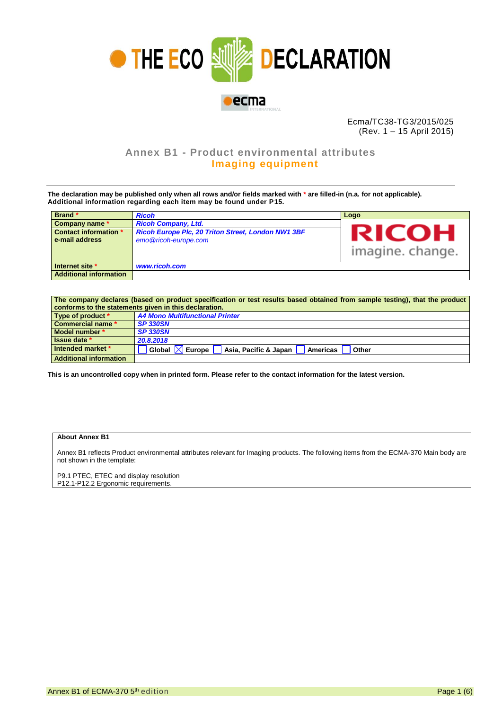

Ecma/TC38-TG3/2015/025 (Rev. 1 – 15 April 2015)

## **Annex B1 - Product environmental attributes Imaging equipment**

**The declaration may be published only when all rows and/or fields marked with \* are filled-in (n.a. for not applicable). Additional information regarding each item may be found under P15.**

| Brand *                       | <b>Ricoh</b>                                       | Logo             |
|-------------------------------|----------------------------------------------------|------------------|
| Company name *                | <b>Ricoh Company, Ltd.</b>                         |                  |
| <b>Contact information *</b>  | Ricoh Europe Plc, 20 Triton Street, London NW1 3BF | <b>RICOH</b>     |
| e-mail address                | emo@ricoh-europe.com                               |                  |
|                               |                                                    | imagine. change. |
| Internet site *               | www.ricoh.com                                      |                  |
| <b>Additional information</b> |                                                    |                  |

| The company declares (based on product specification or test results based obtained from sample testing), that the product |                                                                              |  |  |  |  |
|----------------------------------------------------------------------------------------------------------------------------|------------------------------------------------------------------------------|--|--|--|--|
| conforms to the statements given in this declaration.                                                                      |                                                                              |  |  |  |  |
| Type of product *                                                                                                          | A4 Mono Multifunctional Printer                                              |  |  |  |  |
| <b>Commercial name *</b>                                                                                                   | <b>SP 330SN</b>                                                              |  |  |  |  |
| Model number *                                                                                                             | <b>SP 330SN</b>                                                              |  |  |  |  |
| Issue date *                                                                                                               | 20.8.2018                                                                    |  |  |  |  |
| Intended market *                                                                                                          | Global $\boxtimes$<br>Europe<br>Asia, Pacific & Japan<br>Americas  <br>Other |  |  |  |  |
| <b>Additional information</b>                                                                                              |                                                                              |  |  |  |  |

**This is an uncontrolled copy when in printed form. Please refer to the contact information for the latest version.**

## **About Annex B1**

Annex B1 reflects Product environmental attributes relevant for Imaging products. The following items from the ECMA-370 Main body are not shown in the template:

P9.1 PTEC, ETEC and display resolution P12.1-P12.2 Ergonomic requirements.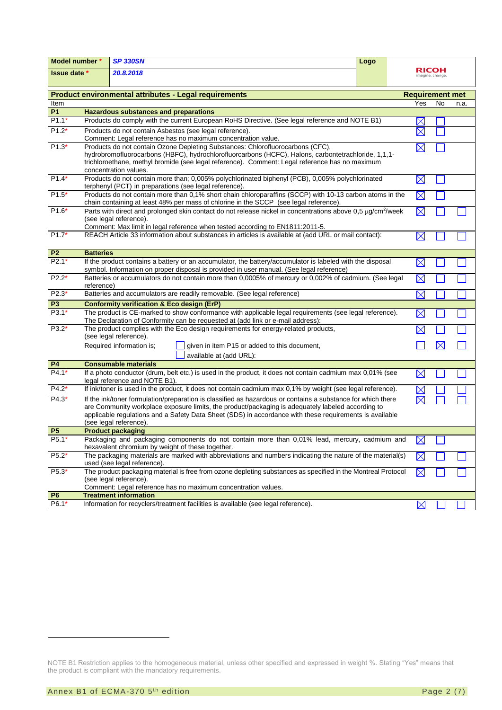| Model number *                                                                         |                                                                                                                                                                | <b>SP 330SN</b>                                                                                                                                                                                   | Logo |                          |             |      |  |
|----------------------------------------------------------------------------------------|----------------------------------------------------------------------------------------------------------------------------------------------------------------|---------------------------------------------------------------------------------------------------------------------------------------------------------------------------------------------------|------|--------------------------|-------------|------|--|
| Issue date *                                                                           |                                                                                                                                                                | 20.8.2018                                                                                                                                                                                         |      | RICOH<br>imagine. change |             |      |  |
|                                                                                        |                                                                                                                                                                |                                                                                                                                                                                                   |      |                          |             |      |  |
| <b>Product environmental attributes - Legal requirements</b><br><b>Requirement met</b> |                                                                                                                                                                |                                                                                                                                                                                                   |      |                          |             |      |  |
| Item                                                                                   |                                                                                                                                                                |                                                                                                                                                                                                   |      | Yes                      | No          | n.a. |  |
| <b>P1</b>                                                                              |                                                                                                                                                                | <b>Hazardous substances and preparations</b>                                                                                                                                                      |      |                          |             |      |  |
| $P1.1*$                                                                                |                                                                                                                                                                | Products do comply with the current European RoHS Directive. (See legal reference and NOTE B1)                                                                                                    |      | $\times$                 |             |      |  |
| $P1.2*$                                                                                | Products do not contain Asbestos (see legal reference).                                                                                                        |                                                                                                                                                                                                   |      |                          |             |      |  |
|                                                                                        | Comment: Legal reference has no maximum concentration value.                                                                                                   |                                                                                                                                                                                                   |      |                          |             |      |  |
| $P1.3*$                                                                                | Products do not contain Ozone Depleting Substances: Chlorofluorocarbons (CFC),                                                                                 |                                                                                                                                                                                                   |      |                          |             |      |  |
|                                                                                        |                                                                                                                                                                | hydrobromofluorocarbons (HBFC), hydrochlorofluorcarbons (HCFC), Halons, carbontetrachloride, 1,1,1-                                                                                               |      | $\boxtimes$              |             |      |  |
|                                                                                        |                                                                                                                                                                | trichloroethane, methyl bromide (see legal reference). Comment: Legal reference has no maximum                                                                                                    |      |                          |             |      |  |
|                                                                                        |                                                                                                                                                                | concentration values.                                                                                                                                                                             |      |                          |             |      |  |
| $P1.4*$                                                                                |                                                                                                                                                                | Products do not contain more than; 0,005% polychlorinated biphenyl (PCB), 0,005% polychlorinated                                                                                                  |      | $\boxtimes$              |             |      |  |
|                                                                                        |                                                                                                                                                                | terphenyl (PCT) in preparations (see legal reference).                                                                                                                                            |      |                          |             |      |  |
| $P1.5*$                                                                                |                                                                                                                                                                | Products do not contain more than 0,1% short chain chloroparaffins (SCCP) with 10-13 carbon atoms in the<br>chain containing at least 48% per mass of chlorine in the SCCP (see legal reference). |      | $\boxtimes$              |             |      |  |
| $P1.6*$                                                                                |                                                                                                                                                                | Parts with direct and prolonged skin contact do not release nickel in concentrations above 0,5 µg/cm <sup>2</sup> /week                                                                           |      | X                        |             |      |  |
|                                                                                        |                                                                                                                                                                | (see legal reference).                                                                                                                                                                            |      |                          |             |      |  |
|                                                                                        |                                                                                                                                                                | Comment: Max limit in legal reference when tested according to EN1811:2011-5.                                                                                                                     |      |                          |             |      |  |
| $P1.7*$                                                                                |                                                                                                                                                                | REACH Article 33 information about substances in articles is available at (add URL or mail contact):                                                                                              |      | $\boxtimes$              |             |      |  |
|                                                                                        |                                                                                                                                                                |                                                                                                                                                                                                   |      |                          |             |      |  |
| P <sub>2</sub>                                                                         | <b>Batteries</b>                                                                                                                                               |                                                                                                                                                                                                   |      |                          |             |      |  |
| $P2.1*$                                                                                |                                                                                                                                                                | If the product contains a battery or an accumulator, the battery/accumulator is labeled with the disposal                                                                                         |      | $\boxtimes$              |             |      |  |
|                                                                                        |                                                                                                                                                                | symbol. Information on proper disposal is provided in user manual. (See legal reference)                                                                                                          |      |                          |             |      |  |
| $P2.2*$                                                                                | Batteries or accumulators do not contain more than 0,0005% of mercury or 0,002% of cadmium. (See legal                                                         |                                                                                                                                                                                                   |      |                          |             |      |  |
|                                                                                        | $\boxtimes$<br>reference)<br>$\boxtimes$                                                                                                                       |                                                                                                                                                                                                   |      |                          |             |      |  |
| $P2.3*$                                                                                | Batteries and accumulators are readily removable. (See legal reference)                                                                                        |                                                                                                                                                                                                   |      |                          |             |      |  |
| P <sub>3</sub>                                                                         |                                                                                                                                                                | <b>Conformity verification &amp; Eco design (ErP)</b>                                                                                                                                             |      |                          |             |      |  |
| $P3.1*$                                                                                |                                                                                                                                                                | The product is CE-marked to show conformance with applicable legal requirements (see legal reference).                                                                                            |      | X                        |             |      |  |
| $P3.2*$                                                                                |                                                                                                                                                                | The Declaration of Conformity can be requested at (add link or e-mail address):                                                                                                                   |      |                          |             |      |  |
|                                                                                        |                                                                                                                                                                | The product complies with the Eco design requirements for energy-related products,<br>(see legal reference).                                                                                      |      | $\times$                 |             |      |  |
|                                                                                        |                                                                                                                                                                | Required information is;<br>given in item P15 or added to this document,                                                                                                                          |      |                          | $\boxtimes$ |      |  |
|                                                                                        |                                                                                                                                                                | available at (add URL):                                                                                                                                                                           |      |                          |             |      |  |
| P4                                                                                     |                                                                                                                                                                | <b>Consumable materials</b>                                                                                                                                                                       |      |                          |             |      |  |
| $P4.1*$                                                                                |                                                                                                                                                                | If a photo conductor (drum, belt etc.) is used in the product, it does not contain cadmium max 0,01% (see                                                                                         |      | $\boxtimes$              |             |      |  |
|                                                                                        |                                                                                                                                                                | legal reference and NOTE B1).                                                                                                                                                                     |      |                          |             |      |  |
| $P4.2*$                                                                                |                                                                                                                                                                | If ink/toner is used in the product, it does not contain cadmium max 0,1% by weight (see legal reference).                                                                                        |      |                          |             |      |  |
| $P4.3*$                                                                                |                                                                                                                                                                | If the ink/toner formulation/preparation is classified as hazardous or contains a substance for which there                                                                                       |      |                          |             |      |  |
|                                                                                        |                                                                                                                                                                | are Community workplace exposure limits, the product/packaging is adequately labeled according to                                                                                                 |      |                          |             |      |  |
|                                                                                        |                                                                                                                                                                | applicable regulations and a Safety Data Sheet (SDS) in accordance with these requirements is available                                                                                           |      |                          |             |      |  |
|                                                                                        |                                                                                                                                                                | (see legal reference).                                                                                                                                                                            |      |                          |             |      |  |
| <b>P5</b>                                                                              |                                                                                                                                                                | <b>Product packaging</b>                                                                                                                                                                          |      |                          |             |      |  |
| P5.1*                                                                                  |                                                                                                                                                                | Packaging and packaging components do not contain more than 0,01% lead, mercury, cadmium and                                                                                                      |      | $\boxtimes$              |             |      |  |
| $P5.2*$                                                                                | hexavalent chromium by weight of these together.<br>The packaging materials are marked with abbreviations and numbers indicating the nature of the material(s) |                                                                                                                                                                                                   |      |                          |             |      |  |
|                                                                                        |                                                                                                                                                                | used (see legal reference).                                                                                                                                                                       |      | ⋉                        |             |      |  |
| P5.3*                                                                                  |                                                                                                                                                                | The product packaging material is free from ozone depleting substances as specified in the Montreal Protocol                                                                                      |      | $\boxtimes$              |             |      |  |
|                                                                                        | (see legal reference).                                                                                                                                         |                                                                                                                                                                                                   |      |                          |             |      |  |
|                                                                                        | Comment: Legal reference has no maximum concentration values.                                                                                                  |                                                                                                                                                                                                   |      |                          |             |      |  |
| P <sub>6</sub>                                                                         |                                                                                                                                                                | <b>Treatment information</b>                                                                                                                                                                      |      |                          |             |      |  |
| P6.1*                                                                                  |                                                                                                                                                                | Information for recyclers/treatment facilities is available (see legal reference).                                                                                                                |      | $\boxtimes$              |             |      |  |

1

NOTE B1 Restriction applies to the homogeneous material, unless other specified and expressed in weight %. Stating "Yes" means that the product is compliant with the mandatory requirements.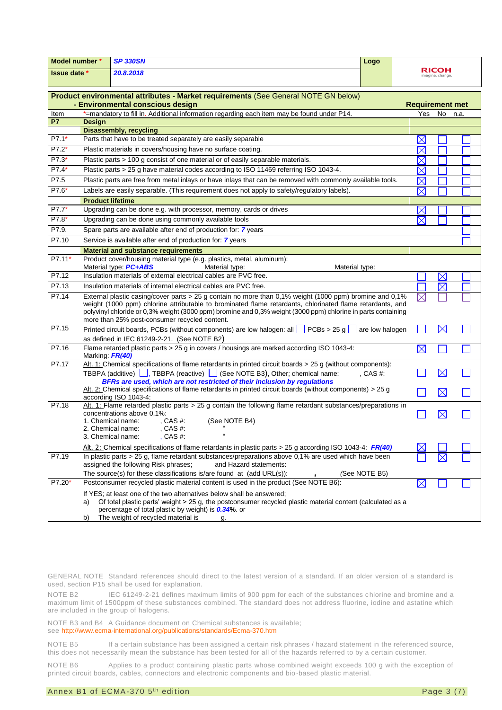| Model number *                   |                                                                                         | <b>SP 330SN</b>                                                                                                                                                                                                  | Logo            |                        |                           |  |
|----------------------------------|-----------------------------------------------------------------------------------------|------------------------------------------------------------------------------------------------------------------------------------------------------------------------------------------------------------------|-----------------|------------------------|---------------------------|--|
| <b>Issue date *</b><br>20.8.2018 |                                                                                         |                                                                                                                                                                                                                  |                 |                        | RICOH<br>imagine. change. |  |
|                                  |                                                                                         | Product environmental attributes - Market requirements (See General NOTE GN below)<br>- Environmental conscious design                                                                                           |                 | <b>Requirement met</b> |                           |  |
| Item                             |                                                                                         | *=mandatory to fill in. Additional information regarding each item may be found under P14.                                                                                                                       |                 |                        | Yes No n.a.               |  |
| <b>P7</b>                        | <b>Design</b>                                                                           | <b>Disassembly, recycling</b>                                                                                                                                                                                    |                 |                        |                           |  |
| $P7.1*$                          |                                                                                         | Parts that have to be treated separately are easily separable                                                                                                                                                    |                 |                        |                           |  |
| $P7.2*$                          | $\times$<br>Plastic materials in covers/housing have no surface coating.<br>$\boxtimes$ |                                                                                                                                                                                                                  |                 |                        |                           |  |
| $P7.3*$                          |                                                                                         | Plastic parts > 100 g consist of one material or of easily separable materials.                                                                                                                                  |                 | ${\color{red} \times}$ |                           |  |
| $P7.4*$                          |                                                                                         | Plastic parts > 25 g have material codes according to ISO 11469 referring ISO 1043-4.                                                                                                                            |                 | $\times$               |                           |  |
| P7.5                             |                                                                                         | Plastic parts are free from metal inlays or have inlays that can be removed with commonly available tools.                                                                                                       |                 | $\boxtimes$            |                           |  |
| P7.6*                            |                                                                                         | Labels are easily separable. (This requirement does not apply to safety/regulatory labels).                                                                                                                      |                 |                        |                           |  |
|                                  | <b>Product lifetime</b>                                                                 |                                                                                                                                                                                                                  |                 | $\times$               |                           |  |
| $P7.7*$                          |                                                                                         | Upgrading can be done e.g. with processor, memory, cards or drives                                                                                                                                               |                 | $\boxtimes$            |                           |  |
| $P7.8*$                          |                                                                                         | Upgrading can be done using commonly available tools                                                                                                                                                             |                 | $\boxtimes$            |                           |  |
| P7.9.                            |                                                                                         | Spare parts are available after end of production for: 7 years                                                                                                                                                   |                 |                        |                           |  |
| P7.10                            |                                                                                         | Service is available after end of production for: 7 years                                                                                                                                                        |                 |                        |                           |  |
|                                  |                                                                                         |                                                                                                                                                                                                                  |                 |                        |                           |  |
| P7.11*                           |                                                                                         | <b>Material and substance requirements</b><br>Product cover/housing material type (e.g. plastics, metal, aluminum):                                                                                              |                 |                        |                           |  |
|                                  |                                                                                         | Material type: PC+ABS<br>Material type:<br>Material type:                                                                                                                                                        |                 |                        |                           |  |
| P7.12                            |                                                                                         | Insulation materials of external electrical cables are PVC free.                                                                                                                                                 |                 |                        | $\boxtimes$               |  |
| P7.13                            |                                                                                         | Insulation materials of internal electrical cables are PVC free.                                                                                                                                                 |                 |                        | $\boxtimes$               |  |
| P7.14                            |                                                                                         | External plastic casing/cover parts > 25 g contain no more than 0,1% weight (1000 ppm) bromine and 0,1%                                                                                                          |                 | $\times$               |                           |  |
|                                  |                                                                                         | weight (1000 ppm) chlorine attributable to brominated flame retardants, chlorinated flame retardants, and                                                                                                        |                 |                        |                           |  |
|                                  |                                                                                         | polyvinyl chloride or 0,3% weight (3000 ppm) bromine and 0,3% weight (3000 ppm) chlorine in parts containing                                                                                                     |                 |                        |                           |  |
| P7.15                            |                                                                                         | more than 25% post-consumer recycled content.<br>Printed circuit boards, PCBs (without components) are low halogen: all $\Box$ PCBs > 25 g                                                                       |                 |                        | $\boxtimes$               |  |
|                                  |                                                                                         |                                                                                                                                                                                                                  | are low halogen |                        |                           |  |
| P7.16                            |                                                                                         | as defined in IEC 61249-2-21. (See NOTE B2)<br>Flame retarded plastic parts > 25 g in covers / housings are marked according ISO 1043-4:                                                                         |                 | $\boxtimes$            |                           |  |
|                                  | Marking FR(40)                                                                          |                                                                                                                                                                                                                  |                 |                        |                           |  |
| P7.17                            |                                                                                         | Alt. 1: Chemical specifications of flame retardants in printed circuit boards > 25 g (without components):                                                                                                       |                 |                        |                           |  |
|                                  |                                                                                         | TBBPA (additive) , TBBPA (reactive) (See NOTE B3), Other; chemical name:                                                                                                                                         | $CAS#$ :        |                        | $\boxtimes$               |  |
|                                  |                                                                                         | BFRs are used, which are not restricted of their inclusion by regulations                                                                                                                                        |                 |                        |                           |  |
|                                  |                                                                                         | Alt. 2: Chemical specifications of flame retardants in printed circuit boards (without components) > 25 g<br>according ISO 1043-4:                                                                               |                 |                        | $\boxtimes$               |  |
| P7.18                            |                                                                                         | Alt. 1: Flame retarded plastic parts $>$ 25 g contain the following flame retardant substances/preparations in                                                                                                   |                 |                        |                           |  |
|                                  |                                                                                         | concentrations above 0,1%:                                                                                                                                                                                       |                 |                        | $\boxtimes$               |  |
|                                  |                                                                                         | 1. Chemical name:<br>$.CAS#$ :<br>(See NOTE B4)                                                                                                                                                                  |                 |                        |                           |  |
|                                  |                                                                                         | 2. Chemical name:<br>, CAS #:<br>$, CAS$ #:<br>3. Chemical name:                                                                                                                                                 |                 |                        |                           |  |
|                                  |                                                                                         |                                                                                                                                                                                                                  |                 |                        |                           |  |
| P7.19                            |                                                                                         | Alt. 2: Chemical specifications of flame retardants in plastic parts > 25 g according ISO 1043-4: FR(40)<br>In plastic parts > 25 g, flame retardant substances/preparations above 0,1% are used which have been |                 |                        |                           |  |
|                                  |                                                                                         | assigned the following Risk phrases;<br>and Hazard statements:                                                                                                                                                   |                 |                        |                           |  |
|                                  |                                                                                         | The source(s) for these classifications is/are found at $(add URL(s))$ :                                                                                                                                         | (See NOTE B5)   |                        |                           |  |
| P7.20*                           |                                                                                         | Postconsumer recycled plastic material content is used in the product (See NOTE B6):                                                                                                                             |                 | $\bowtie$              |                           |  |
|                                  |                                                                                         | If YES; at least one of the two alternatives below shall be answered;                                                                                                                                            |                 |                        |                           |  |
|                                  | a)                                                                                      | Of total plastic parts' weight > 25 g, the postconsumer recycled plastic material content (calculated as a                                                                                                       |                 |                        |                           |  |
|                                  |                                                                                         | percentage of total plastic by weight) is <b>0.34%</b> . or                                                                                                                                                      |                 |                        |                           |  |
|                                  | b)                                                                                      | The weight of recycled material is<br>g.                                                                                                                                                                         |                 |                        |                           |  |

-

GENERAL NOTE Standard references should direct to the latest version of a standard. If an older version of a standard is used, section P15 shall be used for explanation.

NOTE B2 IEC 61249-2-21 defines maximum limits of 900 ppm for each of the substances chlorine and bromine and a maximum limit of 1500ppm of these substances combined. The standard does not address fluorine, iodine and astatine which are included in the group of halogens.

NOTE B3 and B4 A Guidance document on Chemical substances is available; see<http://www.ecma-international.org/publications/standards/Ecma-370.htm>

NOTE B5 If a certain substance has been assigned a certain risk phrases / hazard statement in the referenced source, this does not necessarily mean the substance has been tested for all of the hazards referred to by a certain customer.

NOTE B6 Applies to a product containing plastic parts whose combined weight exceeds 100 g with the exception of printed circuit boards, cables, connectors and electronic components and bio-based plastic material.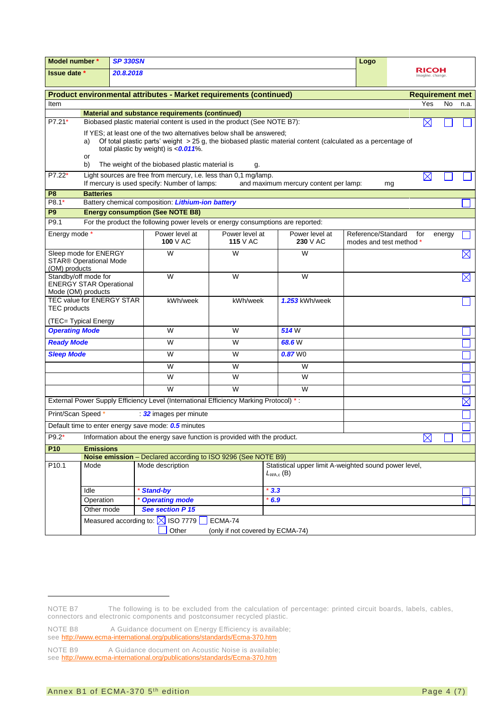| Model number *<br><b>SP 330SN</b>                                                                                          |                                                                                   |  | Logo                                                                                                             |                                  |                                                                                                             |                         |                   |             |
|----------------------------------------------------------------------------------------------------------------------------|-----------------------------------------------------------------------------------|--|------------------------------------------------------------------------------------------------------------------|----------------------------------|-------------------------------------------------------------------------------------------------------------|-------------------------|-------------------|-------------|
|                                                                                                                            | <b>Issue date</b> *<br>20.8.2018                                                  |  |                                                                                                                  |                                  | <b>RICOH</b><br>imagine. change.                                                                            |                         |                   |             |
|                                                                                                                            |                                                                                   |  |                                                                                                                  |                                  |                                                                                                             |                         |                   |             |
| Product environmental attributes - Market requirements (continued)                                                         |                                                                                   |  |                                                                                                                  |                                  |                                                                                                             | <b>Requirement met</b>  |                   |             |
| Item                                                                                                                       |                                                                                   |  |                                                                                                                  |                                  |                                                                                                             |                         | Yes<br><b>No</b>  | n.a.        |
| Material and substance requirements (continued)<br>Biobased plastic material content is used in the product (See NOTE B7): |                                                                                   |  |                                                                                                                  |                                  |                                                                                                             |                         |                   |             |
| P7.21*                                                                                                                     |                                                                                   |  |                                                                                                                  |                                  |                                                                                                             |                         | $\boxtimes$       |             |
|                                                                                                                            | a)                                                                                |  | If YES; at least one of the two alternatives below shall be answered;                                            |                                  | Of total plastic parts' weight > 25 g, the biobased plastic material content (calculated as a percentage of |                         |                   |             |
|                                                                                                                            |                                                                                   |  | total plastic by weight) is $<0.011\%$ .                                                                         |                                  |                                                                                                             |                         |                   |             |
|                                                                                                                            | or                                                                                |  |                                                                                                                  |                                  |                                                                                                             |                         |                   |             |
|                                                                                                                            | b)                                                                                |  | The weight of the biobased plastic material is                                                                   | g.                               |                                                                                                             |                         |                   |             |
| P7.22*                                                                                                                     |                                                                                   |  | Light sources are free from mercury, i.e. less than 0,1 mg/lamp.<br>If mercury is used specify: Number of lamps: |                                  | and maximum mercury content per lamp:                                                                       |                         | $\boxtimes$<br>mg |             |
| P <sub>8</sub>                                                                                                             | <b>Batteries</b>                                                                  |  |                                                                                                                  |                                  |                                                                                                             |                         |                   |             |
| $P8.1*$                                                                                                                    |                                                                                   |  | Battery chemical composition: Lithium-ion battery                                                                |                                  |                                                                                                             |                         |                   |             |
| P <sub>9</sub>                                                                                                             |                                                                                   |  | <b>Energy consumption (See NOTE B8)</b>                                                                          |                                  |                                                                                                             |                         |                   |             |
| P9.1                                                                                                                       |                                                                                   |  | For the product the following power levels or energy consumptions are reported:                                  |                                  |                                                                                                             |                         |                   |             |
| Energy mode *                                                                                                              |                                                                                   |  | Power level at                                                                                                   | Power level at                   | Power level at                                                                                              | Reference/Standard      | for<br>energy     |             |
|                                                                                                                            |                                                                                   |  | 100 V AC                                                                                                         | <b>115</b> V AC                  | 230 V AC                                                                                                    | modes and test method * |                   |             |
| Sleep mode for ENERGY                                                                                                      |                                                                                   |  | W                                                                                                                | W                                | W                                                                                                           |                         |                   | $\boxtimes$ |
| <b>STAR® Operational Mode</b><br>(OM) products                                                                             |                                                                                   |  |                                                                                                                  |                                  |                                                                                                             |                         |                   |             |
| Standby/off mode for                                                                                                       |                                                                                   |  | W                                                                                                                | W                                | W                                                                                                           |                         |                   | $\boxtimes$ |
| <b>ENERGY STAR Operational</b>                                                                                             |                                                                                   |  |                                                                                                                  |                                  |                                                                                                             |                         |                   |             |
| Mode (OM) products<br>TEC value for ENERGY STAR                                                                            |                                                                                   |  | kWh/week                                                                                                         | kWh/week                         | 1.253 kWh/week                                                                                              |                         |                   |             |
| <b>TEC</b> products                                                                                                        |                                                                                   |  |                                                                                                                  |                                  |                                                                                                             |                         |                   |             |
| (TEC= Typical Energy                                                                                                       |                                                                                   |  |                                                                                                                  |                                  |                                                                                                             |                         |                   |             |
| <b>Operating Mode</b>                                                                                                      |                                                                                   |  | W                                                                                                                | W                                | 514W                                                                                                        |                         |                   |             |
| <b>Ready Mode</b>                                                                                                          |                                                                                   |  | W                                                                                                                | W                                | 68.6W                                                                                                       |                         |                   |             |
|                                                                                                                            |                                                                                   |  |                                                                                                                  |                                  |                                                                                                             |                         |                   |             |
| <b>Sleep Mode</b>                                                                                                          |                                                                                   |  | W                                                                                                                | W                                | $0.87$ WO                                                                                                   |                         |                   |             |
|                                                                                                                            |                                                                                   |  | W                                                                                                                | W                                | W                                                                                                           |                         |                   |             |
|                                                                                                                            |                                                                                   |  | W                                                                                                                | W                                | W                                                                                                           |                         |                   |             |
|                                                                                                                            |                                                                                   |  | W                                                                                                                | W                                | W                                                                                                           |                         |                   |             |
|                                                                                                                            |                                                                                   |  | External Power Supply Efficiency Level (International Efficiency Marking Protocol) *:                            |                                  |                                                                                                             |                         |                   | $\boxtimes$ |
| Print/Scan Speed*<br>32 images per minute                                                                                  |                                                                                   |  |                                                                                                                  |                                  |                                                                                                             |                         |                   |             |
| Default time to enter energy save mode: 0.5 minutes                                                                        |                                                                                   |  |                                                                                                                  |                                  |                                                                                                             |                         |                   |             |
| $P9.2*$<br>$\boxtimes$<br>Information about the energy save function is provided with the product.                         |                                                                                   |  |                                                                                                                  |                                  |                                                                                                             |                         |                   |             |
| P <sub>10</sub>                                                                                                            | <b>Emissions</b>                                                                  |  |                                                                                                                  |                                  |                                                                                                             |                         |                   |             |
|                                                                                                                            | Noise emission - Declared according to ISO 9296 (See NOTE B9)                     |  |                                                                                                                  |                                  |                                                                                                             |                         |                   |             |
| P <sub>10.1</sub>                                                                                                          | Mode description<br>Statistical upper limit A-weighted sound power level,<br>Mode |  |                                                                                                                  |                                  |                                                                                                             |                         |                   |             |
|                                                                                                                            |                                                                                   |  |                                                                                                                  |                                  | $L_{W\!A,c}$ (B)                                                                                            |                         |                   |             |
|                                                                                                                            | Idle                                                                              |  | <b>Stand-by</b>                                                                                                  | 3.3                              |                                                                                                             |                         |                   |             |
|                                                                                                                            | <b>Operating mode</b><br>Operation                                                |  | 6.9                                                                                                              |                                  |                                                                                                             |                         |                   |             |
|                                                                                                                            | See section P 15<br>Other mode                                                    |  |                                                                                                                  |                                  |                                                                                                             |                         |                   |             |
|                                                                                                                            |                                                                                   |  | Measured according to: $\boxtimes$ ISO 7779                                                                      | ECMA-74                          |                                                                                                             |                         |                   |             |
|                                                                                                                            |                                                                                   |  | Other                                                                                                            | (only if not covered by ECMA-74) |                                                                                                             |                         |                   |             |

1

NOTE B7 The following is to be excluded from the calculation of percentage: printed circuit boards, labels, cables, connectors and electronic components and postconsumer recycled plastic.

NOTE B8 A Guidance document on Energy Efficiency is available; see<http://www.ecma-international.org/publications/standards/Ecma-370.htm>

NOTE B9 A Guidance document on Acoustic Noise is available; see<http://www.ecma-international.org/publications/standards/Ecma-370.htm>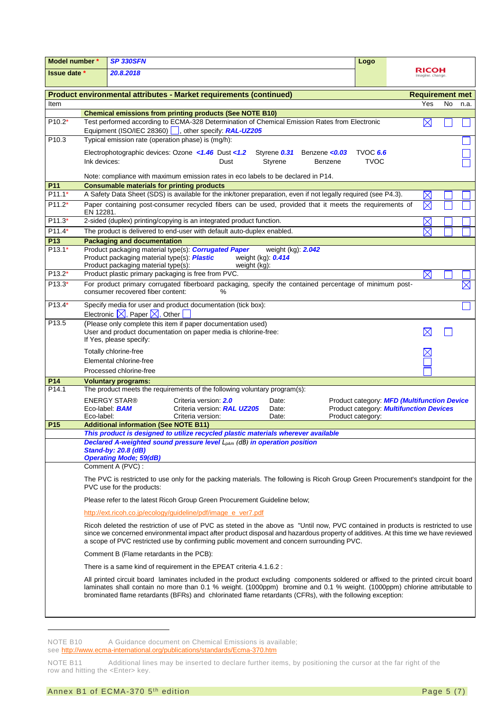| Model number *                                                     |                                                                                                                                                                                                                                                                                                                                                                             | <b>SP 330SFN</b>                                                                   |                                                                                                                                                        |                         | Logo                      |                                                                                               |                         |           |             |
|--------------------------------------------------------------------|-----------------------------------------------------------------------------------------------------------------------------------------------------------------------------------------------------------------------------------------------------------------------------------------------------------------------------------------------------------------------------|------------------------------------------------------------------------------------|--------------------------------------------------------------------------------------------------------------------------------------------------------|-------------------------|---------------------------|-----------------------------------------------------------------------------------------------|-------------------------|-----------|-------------|
| <b>Issue date</b> *                                                |                                                                                                                                                                                                                                                                                                                                                                             | 20.8.2018                                                                          |                                                                                                                                                        |                         | RICOH<br>imagine. change. |                                                                                               |                         |           |             |
| Product environmental attributes - Market requirements (continued) |                                                                                                                                                                                                                                                                                                                                                                             |                                                                                    |                                                                                                                                                        | <b>Requirement met</b>  |                           |                                                                                               |                         |           |             |
| Item                                                               |                                                                                                                                                                                                                                                                                                                                                                             |                                                                                    |                                                                                                                                                        |                         |                           |                                                                                               | Yes                     | <b>No</b> | n.a.        |
|                                                                    |                                                                                                                                                                                                                                                                                                                                                                             |                                                                                    | <b>Chemical emissions from printing products (See NOTE B10)</b>                                                                                        |                         |                           |                                                                                               |                         |           |             |
| $P10.2*$                                                           |                                                                                                                                                                                                                                                                                                                                                                             |                                                                                    | Test performed according to ECMA-328 Determination of Chemical Emission Rates from Electronic<br>Equipment (ISO/IEC 28360)  , other specify: RAL-UZ205 |                         |                           |                                                                                               | $\boxtimes$             |           |             |
| P <sub>10.3</sub>                                                  |                                                                                                                                                                                                                                                                                                                                                                             |                                                                                    | Typical emission rate (operation phase) is (mg/h):                                                                                                     |                         |                           |                                                                                               |                         |           |             |
|                                                                    | Electrophotographic devices: Ozone <1.46 Dust <1.2<br>Styrene 0.31 Benzene <0.03<br><b>TVOC 6.6</b><br>Ink devices:<br>Styrene<br><b>TVOC</b><br>Dust<br>Benzene                                                                                                                                                                                                            |                                                                                    |                                                                                                                                                        |                         |                           |                                                                                               |                         |           |             |
|                                                                    |                                                                                                                                                                                                                                                                                                                                                                             |                                                                                    | Note: compliance with maximum emission rates in eco labels to be declared in P14.                                                                      |                         |                           |                                                                                               |                         |           |             |
| P11<br>$P11.1*$                                                    |                                                                                                                                                                                                                                                                                                                                                                             | <b>Consumable materials for printing products</b>                                  | A Safety Data Sheet (SDS) is available for the ink/toner preparation, even if not legally required (see P4.3).                                         |                         |                           |                                                                                               |                         |           |             |
| $P11.2*$                                                           |                                                                                                                                                                                                                                                                                                                                                                             |                                                                                    | Paper containing post-consumer recycled fibers can be used, provided that it meets the requirements of                                                 |                         |                           |                                                                                               | $\times$<br>$\boxtimes$ |           |             |
|                                                                    | EN 12281.                                                                                                                                                                                                                                                                                                                                                                   |                                                                                    |                                                                                                                                                        |                         |                           |                                                                                               |                         |           |             |
| P11.3*                                                             |                                                                                                                                                                                                                                                                                                                                                                             |                                                                                    | 2-sided (duplex) printing/copying is an integrated product function.                                                                                   |                         |                           |                                                                                               | $\boxtimes$             |           |             |
| $P11.4*$                                                           |                                                                                                                                                                                                                                                                                                                                                                             |                                                                                    | The product is delivered to end-user with default auto-duplex enabled.                                                                                 |                         |                           |                                                                                               | $\boldsymbol{\times}$   |           |             |
| P <sub>13</sub><br>$P13.1*$                                        |                                                                                                                                                                                                                                                                                                                                                                             | <b>Packaging and documentation</b>                                                 | Product packaging material type(s): <b>Corrugated Paper</b>                                                                                            | weight (kg): 2.042      |                           |                                                                                               |                         |           |             |
|                                                                    |                                                                                                                                                                                                                                                                                                                                                                             | Product packaging material type(s): Plastic<br>Product packaging material type(s): | weight (kg): 0.414<br>weight (kg):                                                                                                                     |                         |                           |                                                                                               |                         |           |             |
| $P13.2*$                                                           |                                                                                                                                                                                                                                                                                                                                                                             |                                                                                    | Product plastic primary packaging is free from PVC.                                                                                                    |                         |                           |                                                                                               | $\boxtimes$             |           |             |
| P13.3*                                                             |                                                                                                                                                                                                                                                                                                                                                                             | consumer recovered fiber content:                                                  | For product primary corrugated fiberboard packaging, specify the contained percentage of minimum post-<br>$\%$                                         |                         |                           |                                                                                               |                         |           | $\boxtimes$ |
| P13.4*                                                             |                                                                                                                                                                                                                                                                                                                                                                             | Electronic $\boxtimes$ , Paper $\boxtimes$ , Other                                 | Specify media for user and product documentation (tick box):                                                                                           |                         |                           |                                                                                               |                         |           |             |
| P13.5                                                              |                                                                                                                                                                                                                                                                                                                                                                             | If Yes, please specify:                                                            | (Please only complete this item if paper documentation used)<br>User and product documentation on paper media is chlorine-free:                        |                         |                           |                                                                                               | $\boxtimes$             |           |             |
|                                                                    |                                                                                                                                                                                                                                                                                                                                                                             | Totally chlorine-free                                                              |                                                                                                                                                        |                         |                           |                                                                                               |                         |           |             |
|                                                                    |                                                                                                                                                                                                                                                                                                                                                                             | Elemental chlorine-free                                                            |                                                                                                                                                        |                         |                           |                                                                                               |                         |           |             |
|                                                                    |                                                                                                                                                                                                                                                                                                                                                                             | Processed chlorine-free                                                            |                                                                                                                                                        |                         |                           |                                                                                               |                         |           |             |
| P14                                                                |                                                                                                                                                                                                                                                                                                                                                                             | <b>Voluntary programs:</b>                                                         |                                                                                                                                                        |                         |                           |                                                                                               |                         |           |             |
| P <sub>14.1</sub>                                                  |                                                                                                                                                                                                                                                                                                                                                                             |                                                                                    | The product meets the requirements of the following voluntary program(s):                                                                              |                         |                           |                                                                                               |                         |           |             |
|                                                                    | Eco-label:                                                                                                                                                                                                                                                                                                                                                                  | <b>ENERGY STAR®</b><br>Eco-label: <b>BAM</b>                                       | Criteria version: 2.0<br>Criteria version: RAL UZ205<br>Criteria version:                                                                              | Date:<br>Date:<br>Date: | Product category:         | Product category: MFD (Multifunction Device<br>Product category: <b>Multifunction Devices</b> |                         |           |             |
| P <sub>15</sub>                                                    |                                                                                                                                                                                                                                                                                                                                                                             | <b>Additional information (See NOTE B11)</b>                                       | This product is designed to utilize recycled plastic materials wherever available                                                                      |                         |                           |                                                                                               |                         |           |             |
|                                                                    |                                                                                                                                                                                                                                                                                                                                                                             | <b>Stand-by: 20.8 (dB)</b><br><b>Operating Mode; 59(dB)</b>                        | Declared A-weighted sound pressure level L <sub>pAm</sub> (dB) in operation position                                                                   |                         |                           |                                                                                               |                         |           |             |
|                                                                    |                                                                                                                                                                                                                                                                                                                                                                             | Comment A (PVC) :                                                                  |                                                                                                                                                        |                         |                           |                                                                                               |                         |           |             |
|                                                                    | The PVC is restricted to use only for the packing materials. The following is Ricoh Group Green Procurement's standpoint for the<br>PVC use for the products:                                                                                                                                                                                                               |                                                                                    |                                                                                                                                                        |                         |                           |                                                                                               |                         |           |             |
|                                                                    |                                                                                                                                                                                                                                                                                                                                                                             |                                                                                    | Please refer to the latest Ricoh Group Green Procurement Guideline below;                                                                              |                         |                           |                                                                                               |                         |           |             |
|                                                                    |                                                                                                                                                                                                                                                                                                                                                                             |                                                                                    | http://ext.ricoh.co.jp/ecology/guideline/pdf/image_e_ver7.pdf                                                                                          |                         |                           |                                                                                               |                         |           |             |
|                                                                    | Ricoh deleted the restriction of use of PVC as steted in the above as "Until now, PVC contained in products is restricted to use<br>since we concerned environmental impact after product disposal and hazardous property of additives. At this time we have reviewed<br>a scope of PVC restricted use by confirming public movement and concern surrounding PVC.           |                                                                                    |                                                                                                                                                        |                         |                           |                                                                                               |                         |           |             |
|                                                                    | Comment B (Flame retardants in the PCB):                                                                                                                                                                                                                                                                                                                                    |                                                                                    |                                                                                                                                                        |                         |                           |                                                                                               |                         |           |             |
|                                                                    | There is a same kind of requirement in the EPEAT criteria 4.1.6.2 :                                                                                                                                                                                                                                                                                                         |                                                                                    |                                                                                                                                                        |                         |                           |                                                                                               |                         |           |             |
|                                                                    | All printed circuit board laminates included in the product excluding components soldered or affixed to the printed circuit board<br>laminates shall contain no more than 0.1 % weight. (1000ppm) bromine and 0.1 % weight. (1000ppm) chlorine attributable to<br>brominated flame retardants (BFRs) and chlorinated flame retardants (CFRs), with the following exception: |                                                                                    |                                                                                                                                                        |                         |                           |                                                                                               |                         |           |             |
|                                                                    |                                                                                                                                                                                                                                                                                                                                                                             |                                                                                    |                                                                                                                                                        |                         |                           |                                                                                               |                         |           |             |

NOTE B10 A Guidance document on Chemical Emissions is available;

see<http://www.ecma-international.org/publications/standards/Ecma-370.htm>

NOTE B11 Additional lines may be inserted to declare further items, by positioning the cursor at the far right of the row and hitting the <Enter> key.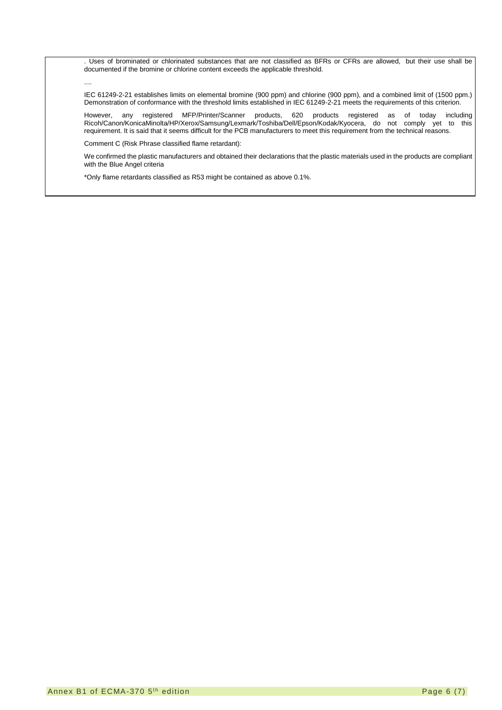. Uses of brominated or chlorinated substances that are not classified as BFRs or CFRs are allowed, but their use shall be documented if the bromine or chlorine content exceeds the applicable threshold.

....

IEC 61249-2-21 establishes limits on elemental bromine (900 ppm) and chlorine (900 ppm), and a combined limit of (1500 ppm.) Demonstration of conformance with the threshold limits established in IEC 61249-2-21 meets the requirements of this criterion.

However, any registered MFP/Printer/Scanner products, 620 products registered as of today including Ricoh/Canon/KonicaMinolta/HP/Xerox/Samsung/Lexmark/Toshiba/Dell/Epson/Kodak/Kyocera, do not comply yet to this requirement. It is said that it seems difficult for the PCB manufacturers to meet this requirement from the technical reasons.

Comment C (Risk Phrase classified flame retardant):

We confirmed the plastic manufacturers and obtained their declarations that the plastic materials used in the products are compliant with the Blue Angel criteria

\*Only flame retardants classified as R53 might be contained as above 0.1%.